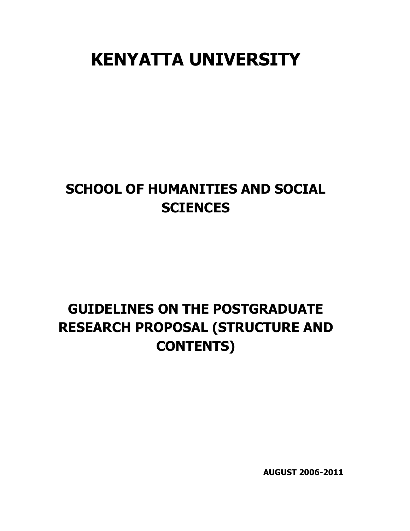# **KENYATTA UNIVERSITY**

## **SCHOOL OF HUMANITIES AND SOCIAL SCIENCES**

## **GUIDELINES ON THE POSTGRADUATE RESEARCH PROPOSAL (STRUCTURE AND CONTENTS)**

**AUGUST 2006-2011**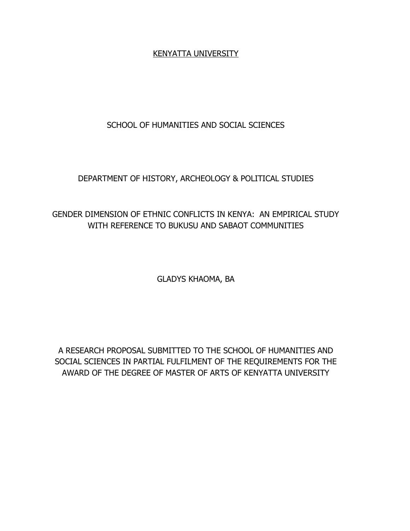#### KENYATTA UNIVERSITY

## SCHOOL OF HUMANITIES AND SOCIAL SCIENCES

## DEPARTMENT OF HISTORY, ARCHEOLOGY & POLITICAL STUDIES

## GENDER DIMENSION OF ETHNIC CONFLICTS IN KENYA: AN EMPIRICAL STUDY WITH REFERENCE TO BUKUSU AND SABAOT COMMUNITIES

GLADYS KHAOMA, BA

A RESEARCH PROPOSAL SUBMITTED TO THE SCHOOL OF HUMANITIES AND SOCIAL SCIENCES IN PARTIAL FULFILMENT OF THE REQUIREMENTS FOR THE AWARD OF THE DEGREE OF MASTER OF ARTS OF KENYATTA UNIVERSITY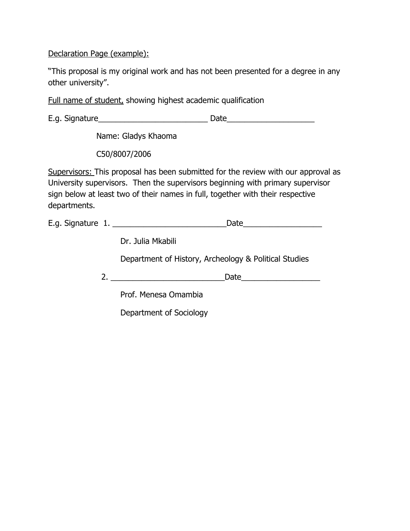Declaration Page (example):

"This proposal is my original work and has not been presented for a degree in any other university".

Full name of student, showing highest academic qualification

|                                                                                                                                                                                                                                                                       | Name: Gladys Khaoma                                   |  |  |  |
|-----------------------------------------------------------------------------------------------------------------------------------------------------------------------------------------------------------------------------------------------------------------------|-------------------------------------------------------|--|--|--|
|                                                                                                                                                                                                                                                                       | C50/8007/2006                                         |  |  |  |
| Supervisors: This proposal has been submitted for the review with our approval as<br>University supervisors. Then the supervisors beginning with primary supervisor<br>sign below at least two of their names in full, together with their respective<br>departments. |                                                       |  |  |  |
|                                                                                                                                                                                                                                                                       | E.g. Signature 1.<br>_Date_________________________   |  |  |  |
|                                                                                                                                                                                                                                                                       | Dr. Julia Mkabili                                     |  |  |  |
|                                                                                                                                                                                                                                                                       | Department of History, Archeology & Political Studies |  |  |  |
|                                                                                                                                                                                                                                                                       |                                                       |  |  |  |
|                                                                                                                                                                                                                                                                       |                                                       |  |  |  |
|                                                                                                                                                                                                                                                                       | Prof. Menesa Omambia                                  |  |  |  |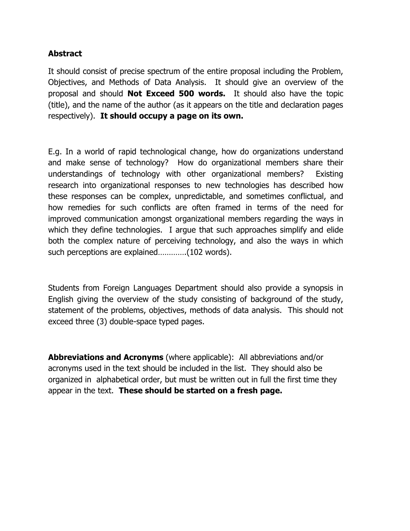## **Abstract**

It should consist of precise spectrum of the entire proposal including the Problem, Objectives, and Methods of Data Analysis. It should give an overview of the proposal and should **Not Exceed 500 words.** It should also have the topic (title), and the name of the author (as it appears on the title and declaration pages respectively). **It should occupy a page on its own.**

E.g. In a world of rapid technological change, how do organizations understand and make sense of technology? How do organizational members share their understandings of technology with other organizational members? Existing research into organizational responses to new technologies has described how these responses can be complex, unpredictable, and sometimes conflictual, and how remedies for such conflicts are often framed in terms of the need for improved communication amongst organizational members regarding the ways in which they define technologies. I argue that such approaches simplify and elide both the complex nature of perceiving technology, and also the ways in which such perceptions are explained………….(102 words).

Students from Foreign Languages Department should also provide a synopsis in English giving the overview of the study consisting of background of the study, statement of the problems, objectives, methods of data analysis. This should not exceed three (3) double-space typed pages.

**Abbreviations and Acronyms** (where applicable): All abbreviations and/or acronyms used in the text should be included in the list. They should also be organized in alphabetical order, but must be written out in full the first time they appear in the text. **These should be started on a fresh page.**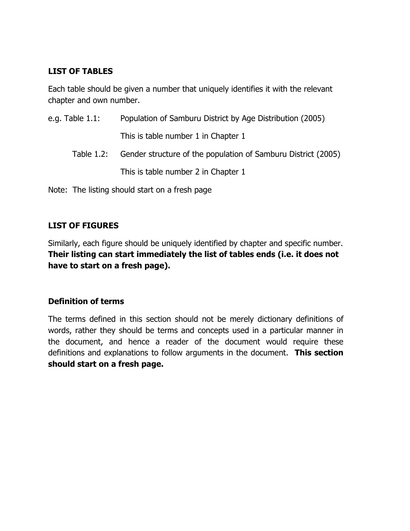## **LIST OF TABLES**

Each table should be given a number that uniquely identifies it with the relevant chapter and own number.

| e.g. Table $1.1$ : | Population of Samburu District by Age Distribution (2005)                |
|--------------------|--------------------------------------------------------------------------|
|                    | This is table number 1 in Chapter 1                                      |
|                    | Table 1.2: Gender structure of the population of Samburu District (2005) |
|                    | This is table number 2 in Chapter 1                                      |
|                    |                                                                          |

Note: The listing should start on a fresh page

## **LIST OF FIGURES**

Similarly, each figure should be uniquely identified by chapter and specific number. **Their listing can start immediately the list of tables ends (i.e. it does not have to start on a fresh page).**

### **Definition of terms**

The terms defined in this section should not be merely dictionary definitions of words, rather they should be terms and concepts used in a particular manner in the document, and hence a reader of the document would require these definitions and explanations to follow arguments in the document. **This section should start on a fresh page.**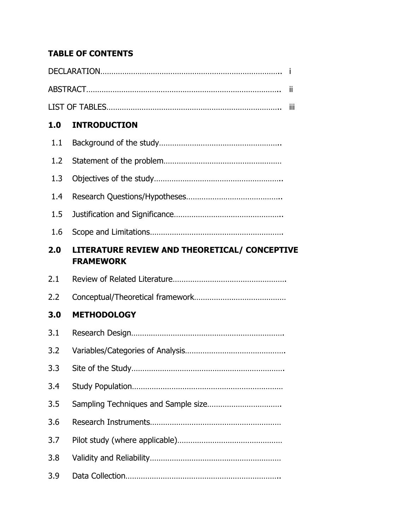## **TABLE OF CONTENTS**

|     |                                                                   | Ϊİ  |
|-----|-------------------------------------------------------------------|-----|
|     |                                                                   | iii |
| 1.0 | <b>INTRODUCTION</b>                                               |     |
| 1.1 |                                                                   |     |
| 1.2 |                                                                   |     |
| 1.3 |                                                                   |     |
| 1.4 |                                                                   |     |
| 1.5 |                                                                   |     |
| 1.6 |                                                                   |     |
| 2.0 | LITERATURE REVIEW AND THEORETICAL/ CONCEPTIVE<br><b>FRAMEWORK</b> |     |
| 2.1 |                                                                   |     |
| 2.2 |                                                                   |     |
| 3.0 | <b>METHODOLOGY</b>                                                |     |
| 3.1 |                                                                   |     |
| 3.2 |                                                                   |     |
| 3.3 |                                                                   |     |
| 3.4 |                                                                   |     |
| 3.5 |                                                                   |     |
| 3.6 |                                                                   |     |
| 3.7 |                                                                   |     |
| 3.8 |                                                                   |     |
| 3.9 |                                                                   |     |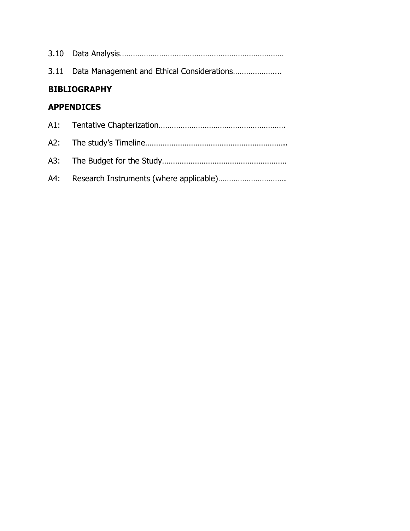|                     | 3.11 Data Management and Ethical Considerations |  |
|---------------------|-------------------------------------------------|--|
| <b>BIBLIOGRAPHY</b> |                                                 |  |
| <b>APPENDICES</b>   |                                                 |  |
|                     |                                                 |  |
|                     |                                                 |  |
| A3:                 |                                                 |  |
| A4:                 |                                                 |  |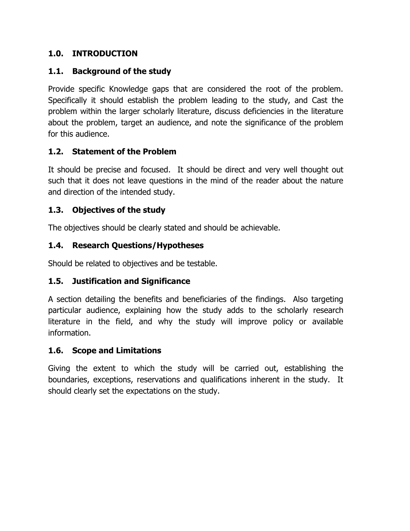## **1.0. INTRODUCTION**

## **1.1. Background of the study**

Provide specific Knowledge gaps that are considered the root of the problem. Specifically it should establish the problem leading to the study, and Cast the problem within the larger scholarly literature, discuss deficiencies in the literature about the problem, target an audience, and note the significance of the problem for this audience.

## **1.2. Statement of the Problem**

It should be precise and focused. It should be direct and very well thought out such that it does not leave questions in the mind of the reader about the nature and direction of the intended study.

## **1.3. Objectives of the study**

The objectives should be clearly stated and should be achievable.

## **1.4. Research Questions/Hypotheses**

Should be related to objectives and be testable.

## **1.5. Justification and Significance**

A section detailing the benefits and beneficiaries of the findings. Also targeting particular audience, explaining how the study adds to the scholarly research literature in the field, and why the study will improve policy or available information.

### **1.6. Scope and Limitations**

Giving the extent to which the study will be carried out, establishing the boundaries, exceptions, reservations and qualifications inherent in the study. It should clearly set the expectations on the study.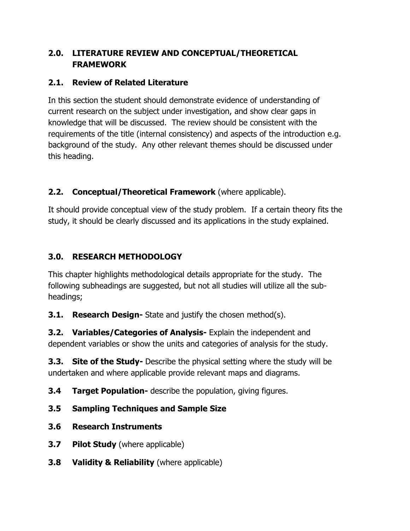## **2.0. LITERATURE REVIEW AND CONCEPTUAL/THEORETICAL FRAMEWORK**

## **2.1. Review of Related Literature**

In this section the student should demonstrate evidence of understanding of current research on the subject under investigation, and show clear gaps in knowledge that will be discussed. The review should be consistent with the requirements of the title (internal consistency) and aspects of the introduction e.g. background of the study. Any other relevant themes should be discussed under this heading.

## **2.2. Conceptual/Theoretical Framework** (where applicable).

It should provide conceptual view of the study problem. If a certain theory fits the study, it should be clearly discussed and its applications in the study explained.

## **3.0. RESEARCH METHODOLOGY**

This chapter highlights methodological details appropriate for the study. The following subheadings are suggested, but not all studies will utilize all the subheadings;

**3.1. Research Design-** State and justify the chosen method(s).

**3.2. Variables/Categories of Analysis-** Explain the independent and dependent variables or show the units and categories of analysis for the study.

**3.3. Site of the Study-** Describe the physical setting where the study will be undertaken and where applicable provide relevant maps and diagrams.

**3.4 Target Population-** describe the population, giving figures.

- **3.5 Sampling Techniques and Sample Size**
- **3.6 Research Instruments**
- **3.7 Pilot Study** (where applicable)
- **3.8 Validity & Reliability** (where applicable)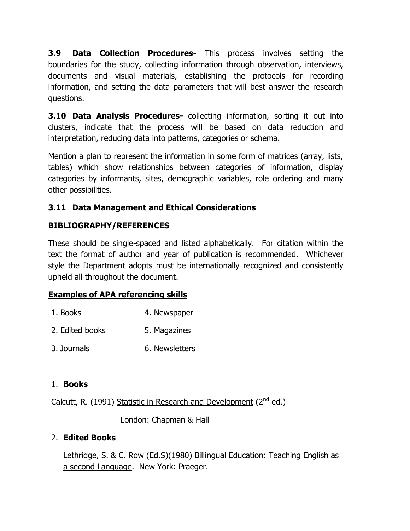**3.9 Data Collection Procedures-** This process involves setting the boundaries for the study, collecting information through observation, interviews, documents and visual materials, establishing the protocols for recording information, and setting the data parameters that will best answer the research questions.

**3.10 Data Analysis Procedures-** collecting information, sorting it out into clusters, indicate that the process will be based on data reduction and interpretation, reducing data into patterns, categories or schema.

Mention a plan to represent the information in some form of matrices (array, lists, tables) which show relationships between categories of information, display categories by informants, sites, demographic variables, role ordering and many other possibilities.

## **3.11 Data Management and Ethical Considerations**

## **BIBLIOGRAPHY/REFERENCES**

These should be single-spaced and listed alphabetically. For citation within the text the format of author and year of publication is recommended. Whichever style the Department adopts must be internationally recognized and consistently upheld all throughout the document.

## **Examples of APA referencing skills**

- 1. Books 4. Newspaper
- 2. Edited books 5. Magazines
- 3. Journals 6. Newsletters

## 1. **Books**

Calcutt, R. (1991) Statistic in Research and Development (2<sup>nd</sup> ed.)

London: Chapman & Hall

## 2. **Edited Books**

Lethridge, S. & C. Row (Ed.S)(1980) Billingual Education: Teaching English as a second Language. New York: Praeger.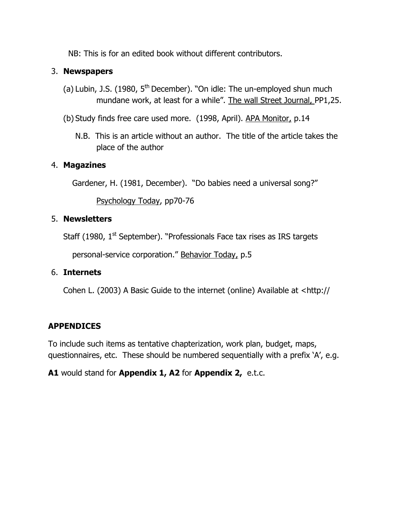NB: This is for an edited book without different contributors.

## 3. **Newspapers**

- (a) Lubin, J.S. (1980,  $5<sup>th</sup>$  December). "On idle: The un-employed shun much mundane work, at least for a while". The wall Street Journal, PP1,25.
- (b) Study finds free care used more. (1998, April). APA Monitor, p.14
	- N.B. This is an article without an author. The title of the article takes the place of the author

## 4. **Magazines**

Gardener, H. (1981, December). "Do babies need a universal song?"

Psychology Today, pp70-76

## 5. **Newsletters**

Staff (1980, 1<sup>st</sup> September). "Professionals Face tax rises as IRS targets

personal-service corporation." Behavior Today, p.5

## 6. **Internets**

Cohen L. (2003) A Basic Guide to the internet (online) Available at <http://

## **APPENDICES**

To include such items as tentative chapterization, work plan, budget, maps, questionnaires, etc. These should be numbered sequentially with a prefix 'A', e.g.

**A1** would stand for **Appendix 1, A2** for **Appendix 2,** e.t.c.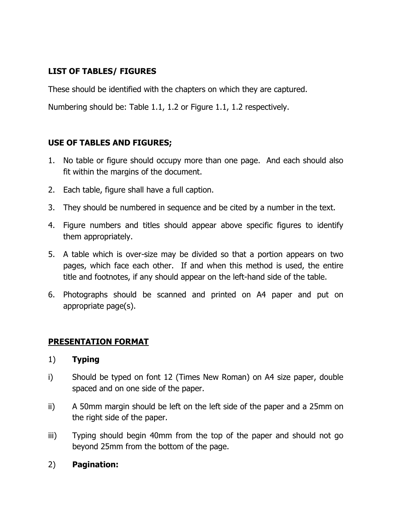## **LIST OF TABLES/ FIGURES**

These should be identified with the chapters on which they are captured.

Numbering should be: Table 1.1, 1.2 or Figure 1.1, 1.2 respectively.

### **USE OF TABLES AND FIGURES;**

- 1. No table or figure should occupy more than one page. And each should also fit within the margins of the document.
- 2. Each table, figure shall have a full caption.
- 3. They should be numbered in sequence and be cited by a number in the text.
- 4. Figure numbers and titles should appear above specific figures to identify them appropriately.
- 5. A table which is over-size may be divided so that a portion appears on two pages, which face each other. If and when this method is used, the entire title and footnotes, if any should appear on the left-hand side of the table.
- 6. Photographs should be scanned and printed on A4 paper and put on appropriate page(s).

### **PRESENTATION FORMAT**

#### 1) **Typing**

- i) Should be typed on font 12 (Times New Roman) on A4 size paper, double spaced and on one side of the paper.
- ii) A 50mm margin should be left on the left side of the paper and a 25mm on the right side of the paper.
- iii) Typing should begin 40mm from the top of the paper and should not go beyond 25mm from the bottom of the page.

### 2) **Pagination:**